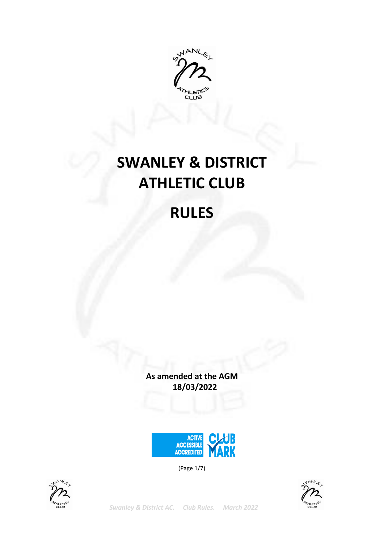

# **SWANLEY & DISTRICT ATHLETIC CLUB**

# **RULES**

**As amended at the AGM 18/03/2022**



(Page 1/7)





*Swanley & District AC. Club Rules. March 2022*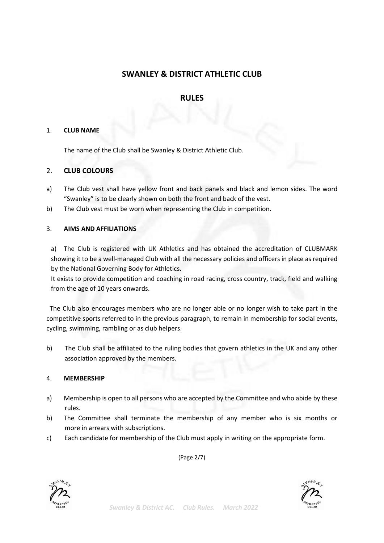# **SWANLEY & DISTRICT ATHLETIC CLUB**

# **RULES**

#### 1. **CLUB NAME**

The name of the Club shall be Swanley & District Athletic Club.

# 2. **CLUB COLOURS**

- a) The Club vest shall have yellow front and back panels and black and lemon sides. The word "Swanley" is to be clearly shown on both the front and back of the vest.
- b) The Club vest must be worn when representing the Club in competition.

#### 3. **AIMS AND AFFILIATIONS**

a) The Club is registered with UK Athletics and has obtained the accreditation of CLUBMARK showing it to be a well-managed Club with all the necessary policies and officers in place as required by the National Governing Body for Athletics.

It exists to provide competition and coaching in road racing, cross country, track, field and walking from the age of 10 years onwards.

 The Club also encourages members who are no longer able or no longer wish to take part in the competitive sports referred to in the previous paragraph, to remain in membership for social events, cycling, swimming, rambling or as club helpers.

b) The Club shall be affiliated to the ruling bodies that govern athletics in the UK and any other association approved by the members.

#### 4. **MEMBERSHIP**

- a) Membership is open to all persons who are accepted by the Committee and who abide by these rules.
- b) The Committee shall terminate the membership of any member who is six months or more in arrears with subscriptions.
- c) Each candidate for membership of the Club must apply in writing on the appropriate form.

(Page 2/7)



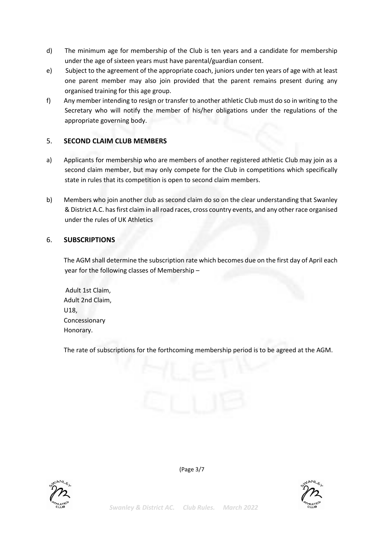- d) The minimum age for membership of the Club is ten years and a candidate for membership under the age of sixteen years must have parental/guardian consent.
- e) Subject to the agreement of the appropriate coach, juniors under ten years of age with at least one parent member may also join provided that the parent remains present during any organised training for this age group.
- f) Any member intending to resign or transfer to another athletic Club must do so in writing to the Secretary who will notify the member of his/her obligations under the regulations of the appropriate governing body.

# 5. **SECOND CLAIM CLUB MEMBERS**

- a) Applicants for membership who are members of another registered athletic Club may join as a second claim member, but may only compete for the Club in competitions which specifically state in rules that its competition is open to second claim members.
- b) Members who join another club as second claim do so on the clear understanding that Swanley & District A.C. has first claim in all road races, cross country events, and any other race organised under the rules of UK Athletics

#### 6. **SUBSCRIPTIONS**

The AGM shall determine the subscription rate which becomes due on the first day of April each year for the following classes of Membership –

Adult 1st Claim, Adult 2nd Claim, U18, Concessionary Honorary.

The rate of subscriptions for the forthcoming membership period is to be agreed at the AGM.





(Page 3/7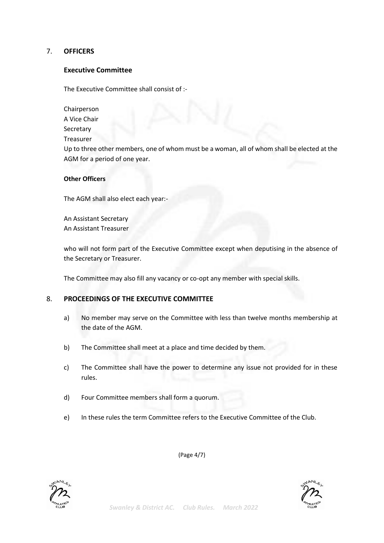# 7. **OFFICERS**

#### **Executive Committee**

The Executive Committee shall consist of :-

Chairperson

A Vice Chair

Secretary

Treasurer

Up to three other members, one of whom must be a woman, all of whom shall be elected at the AGM for a period of one year.

#### **Other Officers**

The AGM shall also elect each year:-

An Assistant Secretary An Assistant Treasurer

who will not form part of the Executive Committee except when deputising in the absence of the Secretary or Treasurer.

The Committee may also fill any vacancy or co-opt any member with special skills.

#### 8. **PROCEEDINGS OF THE EXECUTIVE COMMITTEE**

- a) No member may serve on the Committee with less than twelve months membership at the date of the AGM.
- b) The Committee shall meet at a place and time decided by them.
- c) The Committee shall have the power to determine any issue not provided for in these rules.
- d) Four Committee members shall form a quorum.
- e) In these rules the term Committee refers to the Executive Committee of the Club.

(Page 4/7)



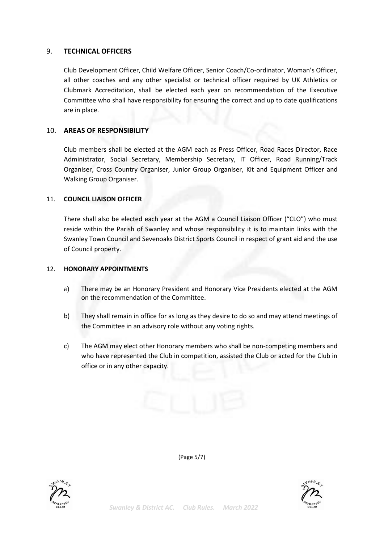#### 9. **TECHNICAL OFFICERS**

Club Development Officer, Child Welfare Officer, Senior Coach/Co-ordinator, Woman's Officer, all other coaches and any other specialist or technical officer required by UK Athletics or Clubmark Accreditation, shall be elected each year on recommendation of the Executive Committee who shall have responsibility for ensuring the correct and up to date qualifications are in place.

# 10. **AREAS OF RESPONSIBILITY**

Club members shall be elected at the AGM each as Press Officer, Road Races Director, Race Administrator, Social Secretary, Membership Secretary, IT Officer, Road Running/Track Organiser, Cross Country Organiser, Junior Group Organiser, Kit and Equipment Officer and Walking Group Organiser.

#### 11. **COUNCIL LIAISON OFFICER**

There shall also be elected each year at the AGM a Council Liaison Officer ("CLO") who must reside within the Parish of Swanley and whose responsibility it is to maintain links with the Swanley Town Council and Sevenoaks District Sports Council in respect of grant aid and the use of Council property.

#### 12. **HONORARY APPOINTMENTS**

- a) There may be an Honorary President and Honorary Vice Presidents elected at the AGM on the recommendation of the Committee.
- b) They shall remain in office for as long as they desire to do so and may attend meetings of the Committee in an advisory role without any voting rights.
- c) The AGM may elect other Honorary members who shall be non-competing members and who have represented the Club in competition, assisted the Club or acted for the Club in office or in any other capacity.





(Page 5/7)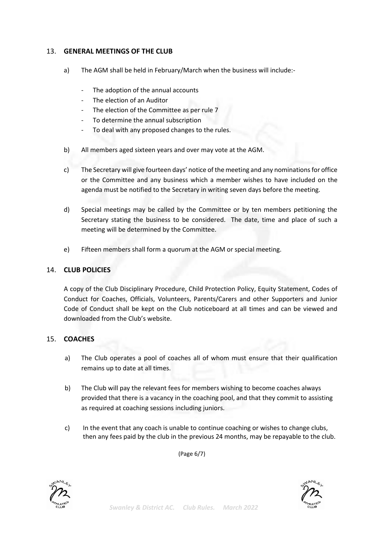# 13. **GENERAL MEETINGS OF THE CLUB**

- a) The AGM shall be held in February/March when the business will include:-
	- The adoption of the annual accounts
	- The election of an Auditor
	- The election of the Committee as per rule 7
	- To determine the annual subscription
	- To deal with any proposed changes to the rules.
- b) All members aged sixteen years and over may vote at the AGM.
- c) The Secretary will give fourteen days' notice of the meeting and any nominations for office or the Committee and any business which a member wishes to have included on the agenda must be notified to the Secretary in writing seven days before the meeting.
- d) Special meetings may be called by the Committee or by ten members petitioning the Secretary stating the business to be considered. The date, time and place of such a meeting will be determined by the Committee.
- e) Fifteen members shall form a quorum at the AGM or special meeting.

# 14. **CLUB POLICIES**

A copy of the Club Disciplinary Procedure, Child Protection Policy, Equity Statement, Codes of Conduct for Coaches, Officials, Volunteers, Parents/Carers and other Supporters and Junior Code of Conduct shall be kept on the Club noticeboard at all times and can be viewed and downloaded from the Club's website.

# 15. **COACHES**

- a) The Club operates a pool of coaches all of whom must ensure that their qualification remains up to date at all times.
- b) The Club will pay the relevant fees for members wishing to become coaches always provided that there is a vacancy in the coaching pool, and that they commit to assisting as required at coaching sessions including juniors.
- c) In the event that any coach is unable to continue coaching or wishes to change clubs, then any fees paid by the club in the previous 24 months, may be repayable to the club.

(Page 6/7)